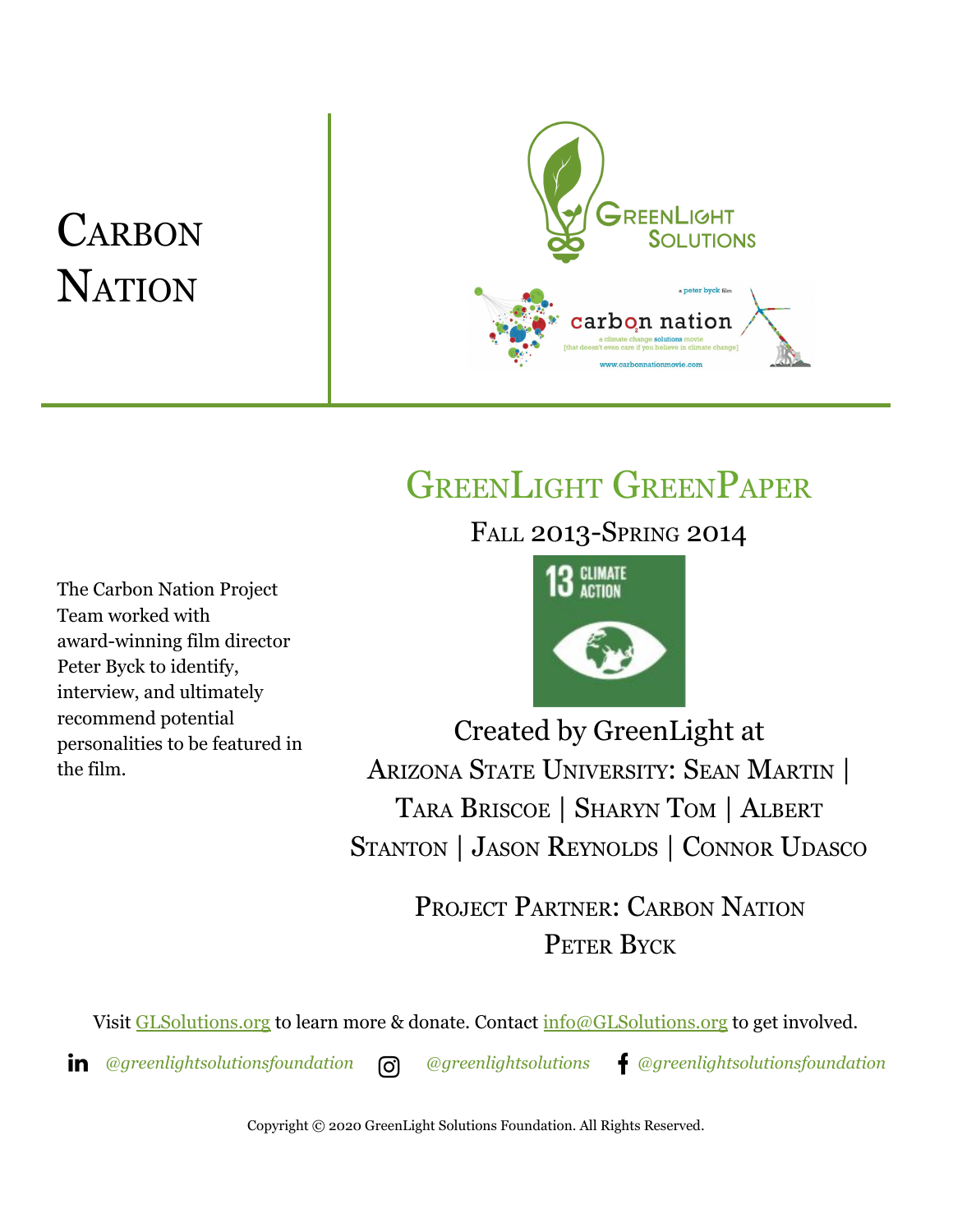# **CARBON NATION**



## GREENLIGHT GREENPAPER

FALL 2013-SPRING 2014

The Carbon Nation Project Team worked with award-winning film director Peter Byck to identify, interview, and ultimately recommend potential personalities to be featured in the film.



Created by GreenLight at ARIZONA STATE UNIVERSITY: SEAN MARTIN | TARA BRISCOE | SHARYN TOM | ALBERT STANTON | JASON REYNOLDS | CONNOR UDASCO

> PROJECT PARTNER: CARBON NATION PETER BYCK

Visit [GLSolutions.org](https://www.glsolutions.org/) to learn more & donate. Contact  $\frac{info@GLSolutions.org}{info@GLSolutions.org}$  to get involved.

*[@greenlightsolutionsfoundation](https://www.linkedin.com/company/10571635) [@greenlightsolutions](https://www.instagram.com/greenlightsolutions/) [@greenlightsolutionsfoundation](https://www.facebook.com/GreenLightSolutionsFoundation/)*

Copyright © 2020 GreenLight Solutions Foundation. All Rights Reserved.